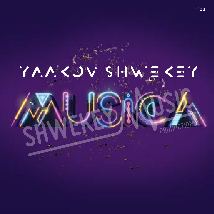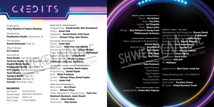# CREDITS

Produced by: **Yitzy Waldner & Yaakov Shwekey**

Mastered by: **PlayMasters Studio**, Spotswood, NJ

#### Photography:

**Rachel Mishanieh**, Deal, NJ

Album Design:

#### **KZ Creative**

#### Recorded at:

**Harel Studio**, Gan Yavne, Israel **Harmony Studio**, Ramat Hasharon, Israel **Musical Minds Studio PlayMasters Studio**, Spotswood, NJ **KYP Studios**, Ramat Hasharon, Israel **Yaniv Studios**, Los Angeles, CA **Yaakov's Studio**, Deal, NJ **ZemiroStudio**, Monsey, NY **Zmiroth**, Bnei Brak, Israel

#### **ENGINEERS:**

Ian Freitor Daniel Kapler Yaniv Farber Rafi Graydi Avi Korlanski Mashiach Mashiach Tamir Zur Chase Kaplan

R AVID K ASHTI ARR ANGEMENTS: Programming - **Ravid Kashti, Ron Karseboom** Drums - **Asher Fedi** Keyboards – **Ravid Kashti, Amit Harel** Guitars - **Shimon Yihye, Idan Shneor**

RAFI GRAYDI ARRANGEMENTS: Drums - **Asher Fedi** Bass Guitar - **Yossi Fine, Arie Volnitz** Acoustic & Electric Guitars - **Doron Mizrahi** Piano, Keyboards & Programming - **Rafi Graydi** Soprano Saxophone - **Gilad Ronen** Strings Section - **Nitzan Canetty, Gili Rivkin, Galia Hai, Gal Nyska**  $\bm{G}$ ili Rivkin, Galia Hai, Gal Nyska $\rm{UCT10NS}$ 

Keyboards - I**an Freitor, Danie Kapler** Programming - **Daniel Kapler** Bass – **Mitch Friedman** Guitars – **Shimon Yihye, Daniel Kapler** Drums – **Asher Fedi**

TAMIR ZUR ARRANGEMENTS: Bass Guitar – **Avi Yifrach** Guitars – **Shimon Yihye** Piano, Keyboards & Programming - **Tamir Zur, Mashiach Mashiach, Izeek Shamli** Darbuka – **Chezi Yaakov** Percussions – **Elan Gozlan**

MOSHE LAUFER ARRANGEMENTS: Drums - **Avi Avidani** Bass - **Gay Dahn** Guitars - **Avi Singolda** Piano - **Beny Laufer** Strings - **Eyal Shiloach & Young Israel Philharmonic Orchestra**

AVRUMI BERKO ARRANGEMENTS: Piano, Keyboards & Programming – **Avrumi Berko** Baritone Tenor - **Dor Assaraf** Flute - **Dor Assaraf** Guitars - **Yoni Kesar** Bazuki - **Yoni Kesar**

> ZEMIROS GROUP Conducted by: **Yoily Polatseck**

> > Yoily Polatseck Chaim Brown Yoily Friedrich Duvi Hirsch Pinny Ostreicher Gershy Shwarcz

SHIR V'SHEVACH BOYS CHOIR Conducted By: **Chaim Meir Fligman**

SHWEKEY SHOWS - THE TEAM: Management And Production: **Sharon Daniel** Conductor And Musical Director: **Rafi Graydi** U.s. Musical Production: **Yanky Katina** Technical Advisor: **Baruch Nojowitz** New Media: **Chezi Rosenboum** Lighting Design: **Speedy Cole** Sound Engineer: **Moshik Tzabary** Video Jockey: **Izeek Daniel** Consigliere: **David Hillel** Strategist: **Hilly Hill** PR: **Mediapro** PRODUCTIONS

Legal Advisor: **Meir Golan, Israel Gur** YaakovShwekey.com • 212-SHWEKEY TRAVEL ARRANGEMENTS: Yossi Leifer - **Travelers Choice** M. Goren - **Global Business Travel**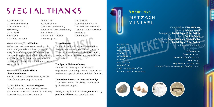# SPECIAL THANKS

Yaakov Adelman Chaya Rochel Bender Rabbi Avi Berman, OU Mickey Beyda Chaim Bublil Joey Dayon R' Shlomo Diamond

Amiran Dvir Yechiel Fishman Colin Goldstein & Family Sarah Leah Guttman & Family Elan & Nomi Jaffa Mark & Linda Karasick R' Pinny Lipshitz

#### My co-producer, **Yitzy Waldner**

We've spent well over a year creating this album and your talent shines throughout every facet of the project. After the many hours and long sessions of brilliant creativity, you take no credit, rather you attribute it all to Hashem. It is your humility that makes you extra special.

#### My dear friends **David Hillel & Chezi Rosenboum**

You are both true and dear friends, always there for me every step of the way.

A special thanks to **Yaakov Klugman**  Aside from your strong business acumen... your love for music and generosity in helping special children is truly exceptional.

#### **Yisroel Besser:**

Your books and articles are a testament to the gift that Hashem has blessed you with. When introduced to the challenge of writing a song you never wavered, you were creative<br>and patient. and patient.

Moshe Malka Sean Melnick & Family Mark & Rachel Mishanieh Kasriel & Dafnah Nojowitz

Ivyn Sachs Doron Shpun

### **The Special Children Center:**

I am blessed to be a part of this great organization that brings so much love and joy to the most special children and their families.

#### **To my dear Parents, In Laws and Family:**

Thank you so much for always sharing your guidance and support.

Finally, to my dear Eshet Chayil **Jenine** and my **precious children**. YOU ARE MY LIFE!

## נצח ישראל Netzach Yisrael

Composed by: **Yitzy Waldner** Lyrics by: **Miriam Israeli** Arranged by: **Daniel Kapler & Ian Freitor**  Choir: **Zemiros Group** Back Vocals: **Evgeny Mironov, Daniel Kapler** Mixed by: **Daniel Kapler & Ian Freitor** at PlayMasters Studio<br>PRODUCTIONS

לחן: **איצי וולדנר** מילים: **מרים ישראלי** עיבוד: **דניאל קפלר, יאן פרייטור** מקהלה: **זמירות** קולות: **יבגני מירנוב, דניאל קפלר** מיקס: **דניאל קפלר, יאן פרייטור** אולפני פליימאסטרס



אבל עם ישראל חי כאן לעולם נצח ישראל לא ישקר כי עמנו קל

סלע בתוך ההר יכול להיסדק חבל אשר נקשר יכול להתנתק מה שכתוב על דף יכול להימחק אבן בתוך חומה תוכל להתפורר





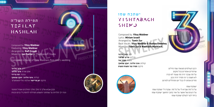## תפילת השל"ה Tefilat Hashlah

Composed by: **Yitzy Waldner** Featuring: **Yitzy Waldner** Arranged by: **Rafi Graydi** Mixed by: **Ian Freitor** at PlayMasters Studio

Composed in honor of Yitzy Waldners first child's wedding

לחן: **איצי וולדנר** אמן אורח: **איצי וולדנר** עיבוד: **רפי גריידי** קולות: **איצי וולדנר, יעקב שוואקי** מיקס: **יאן פרייטור** אולפני פליימאסטרס

ובכן אבוא אליך ה' מלך מלכי המלכים ואפיל תחנתי ועיני לך תלויות עד שתחנני ותשמע תפילתי להזמין לי בנים ובנות

### ישתבח שמו Yishtabach SHEMU

Composed by: **Yitzy Waldner** Lyrics: **Miriam Israeli** Arranged by: **Tamir Zur** Back Vocals: **Yitzy Waldner & Yaakov Shwekey** Mixed by: **Tamir Zur & Mashiach Mashiach**

לחן: **איצי וולדנר** מילים: **מרים ישראלי** עיבוד: **תמיר צור** קולות: **איצי וולדנר, יעקב שוואקי** מיקס: **תמיר צור ומשיח משיח**



PRODUCTIONS



#### ישתבח שמו

PRODUCTIONS

על כל מה שברא לי על כל מה שקרה לי ישתבח שמו על רגעים של אושר על אור בתוך החושך ישתבח שמו ביחד לעד לעולם ישתבח שמו

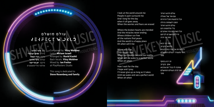

### עולם מושלם Perfect World

לחן: **איצי וולדנר** מילים: **מרים ישראלי** עיבוד: **רביד קשתי** קולות: **איצי וולדנר** מיקס: **יאן פרייטור** אולפני פליימאסטרס

Composed by: **Yitzy Waldner**  Lyrics: **Miriam Israeli** Arranged by: **Ravid Kashti** Back Vocals: **Yitzy Waldner** Mixed by: **Ian Freitor** at PlayMasters Studio **PRODUCTIONS** 

This song is dedicated to **Steve Rosenberg and family** I look at the world around me People in pain surround me And I long for the day when it all goes away When the worries and fears are erased

Where the broken hearts are mended And the miracles never ending Where children run free all the nations find peace And the world is a happy place Oh when will it be

When will it be That vision I see When our dreams become our reality When will we wake to a perfect world When oh when

How I wait for the day I hope and I pray I'll never give up as long as it takes Until we wake and see a perfect world When oh when

עולם חדש ראיתי עם אור של גאולה וכל הדמעות מכל הדורות הפכו לשמחה גדולה עולם חדש ראיתי בלי מלחמות ודם וכל האויבים נהיו אוהבים חיילים השבים לביתם מתי זה יהיה

מתי זה יבוא הלוואי בקרוב די לצרות אין עוד כוח לבכות מתי נתעורר לעולם המושלם מתי PRODUCTIONS

זה יגיע בסוף אמן בקרוב אחכה לו בכל יום שיבוא ואז יהיה העולם המושלם מתי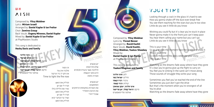### א ש  $A<sub>1</sub>$ sh

Composed by: **Yitzy Waldner**  Lyrics: **Miriam Israeli** Arranged by: **Daniel Kapler & Ian Freitor** Choir: **Zemiros Group** Back Vocals: **Evgeny Mironov, Daniel Kapler** Mixed by: **Daniel Kapler & Ian Freitor** at PlayMasters Studio

#### This song is dedicated to **Heshy Davis and family**

לחן: **איצי וולדנר** מילים: **מרים ישראלי** עיבוד: **דניאל קפלר, יאן פרייטור** מקהלה: **זמירות** קולות: **יבגני מירנוב, דניאל קפלר** מיקס: **דניאל קפלר, יאן פרייטור**





יש אנשים שלא מרגישים ת'להבה אשר בוערת מבפנים היא בתוך הנשמה מאירה וחמה לחן: **איצי וולדנר** אולפני פליימאסטרס

> יש אנשים המחפשים את האורות במקומות הרחוקים את הניצוץ התמידי שבכל יהודי נאיר את הלילה כולו נשיר עד הבוקר יבוא

זה הסוד מלבדו אין עוד אז ניתן יד ביד ונרקוד Time to light the fire now

> תדליק את האש תגיד לי אם יש

> תדליק את האש תגיד לי אם יש

> תדליק את האש

Composed by: **Yitzy Waldner**  Lyrics by: **Yisroel Besser** Arranged by: **Ravid Kashti** Back Vocals: **Ravid Kashti, Yitzy Waldner, Yaakov Shwekey** Mixed by: **Daniel Kapler & Ian Freitor** at PlayMasters Studio

### This song is dedicated to **Yaakov Klugman and family**

מילים: **ישראל בסר** עיבוד: **רביד קשתי** קולות: **רביד קשתי**, **איצי וולדנר, יעקב שוואקי** מיקס: **דניאל קפלר, יאן פרייטור** אולפני פליימאסטרס

### Your Time

Looking through a crack in the glass it's hard to see How you gonna shake off the dust ever break free You see them reaching for the stars but you're too slow Little do you see it little do you know

Wishing you could fly but it's clear you're stuck in place Never gonna make it to the front just can't keep pace You hear them calling your name but you can't go Little do you see it little do you know

### This is your time So go and grab the moment face the world and show it This is your time To show the world the glory celebrate your story<br>This is your time example respectively This is your time

Watching as the dreams fade away where have they gone It's clear you're gonna give up the fight to carry on You feel you're sinking in the sand can't move along Those sounds of struggle they write your song

Sometimes you feel you've reached the end of the line Sometimes you just don't got the drive But that's the moment when you're strongest of all You're alive

Watching as the dreams fade away where have they gone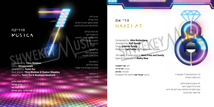### מוזיקה **MUSICA**

Composed by: **Yitzy Waldner** Lyrics: **Miriam Israeli** Arranged by: **Tamir Zur** Back Vocals: **Yitzy Waldner & Yaakov Shwekey** Mixed by: **Tamir Zur & Mashiach Mashiach**

לחן: **איצי וולדנר** מילים: **מרים ישראלי** עיבוד: **תמיר צור** קולות: **איצי וולדנר, יעקב שוואקי** מיקס: **תמיר צור ומשיח משיח**

הגיע לילה כיבוי אורות לשים בחושך את כל הצרות ולחיות את הרגע ולא לחכות

לא רוצה הביתה זה הזמן לרקוד לאלוקים על הטוב להודות ולחברה שבאו לרקוד כל הכבוד

> ומי שנכנס מרגיש את הבס מרגיש את הבס<br>והלב מזנק לתקרה PRO

זו המוזיקה אותנו מדליקה אלוקים בשמים הכל יסתדר

> זו המוזיקה אותנו מקפיצה הלוואי שזה לא ייגמר

### הרי את HAREI AT

Composed by: **Abie Rottenberg** Arranged by: **Rafi Graydi** Choir: **Zemiros Group** Mixed by: **Ian Freitor** at PlayMasters Studio

This song is dedicated to **Mark Fries and family** Special thank you to **Malky New**

לחן: **אבי רוטנברג** עיבוד: **רפי גריידי** מקהלה: **זמירות** מיקס: **יאן פרייטור** אולפני פליימאסטרס



הרי את מקודשת לי בטבעת זו כדת משה וישראל

יחד בשנים נגשים חלום איזה גדול ונשגב היום ועם המסורות האיתנה נצא לקראת חיים של אושר ושל אהבה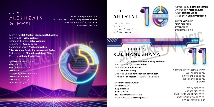### א ב ג  $ALE$  PH  $BATS$  $GINNE$

Concept by: **Reb Sholom Mordechai Rubashkin** Composed by: **Yitzy Waldner** Additional Lyrics by: **Yitzy Waldner** Arranged by: **Avrumi Berko** Background Vocals: **Yaakov Shwekey, Yitzy Waldner, Yanky Katina, Avrumi Berko** Children's Choir: **Shir Vshevach Boys Choir**  Mixed by: **A Berko Production**

רעיון: **ר׳ שלום מרדכי רובשקין** לחן: **איצי וולדנר** מילים נוספים: **איצי וולדנר** עיבוד: **אברומי ברקו** קולות: **יעקב שוואקי, איצי וולדנר, ינקי קטינה, אברומי ברקו** מקהלת ילדים: **שיר ושבח** מיקס: **א ברקו הפקות**

א ב ג אמונה און בטחון ברענגט גענוג געווארט שוין לאנג געווארט יודען אלע <u>שרייט</u> ברענגט די גאולה גייען מיר שוין אהיים א ב ג ברענגט די גאולה

PRODUCTIONS

### שויתי Shivisi

שויתי ה' לנגדי תמיד כי מימיני בל אמוט לכן שמח לבי ויגל כבודי אף בשרי ישכן לבטח

## כל הנשמה Kol Haneshama

Composed by: **Yaakov Menashe & Yitzy Waldner**  English Lyrics by: **Yitzy Waldner** Arranged by: **Ravid Kashti** Choir: **Zemiros Group** Children's Choir: **Shir Vshevach Boys Choir** Mixed by: **Ian Freitor** at PlayMasters Studio

לחן: **יעקב מנשה**, **איצי וולדנר** מילים: **איצי וולדנר** עיבוד: **רביד קשתי** מקהלה: **זמירות** מקהלת ילדים: **מקהלה שיר ושבח** מיקס: **יאן פרייטור** אולפני פליימאסטרס Composed by: **Elisha Freedman** Arranged by: **Moshe Laufer** Choir: **Zemiros Group** Mixed by: **A Berko Production**

לחן: **אלישע פרידמאן** עיבוד: **משה לאופר** מקהלה: **זמירות** מיקס: **א ברקו הפקות**

הללוהו בנבל וכנור הללוהו בתף ומחול Cuz' we sing to you Sing your praise to you Raise our voice to you הללוהו In

**PRODUCTION** 

Yes we sing to you Sing and pray to you I will sing to you I'll pray to you I'll always raise my voice to you כל הנשמה תהלל יה הללויה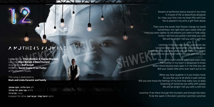PRODUCTIONS

Dreams of perfection dance around in my mind A miracle of life so beautifully designed As I hear your first cries my heart fills with love You're placed in my arms a gift from above

Then come the words that forever change my world Something's not right with your sweet little girl I hold you even tighter as old dreams just seem to fade away I know I will love you protect and keep you safe We will be alright I tell you with a soft kiss

I promise I'll be your eyes when you cannot see I promise to be your voice when you cannot speak promise I'll be your legs when you can't bear the weight I promise to be your heart when the pain gets too great

Deep in the night when I watch your eyes close The mother in my heart is desperate to know When those big blue eyes open is it me that you see Will your sweet little arms ever reach out to me

When you hear laughter is it just empty noise Do you fear you're all alone in pain and joy Will you ever know the feelings of my love that really runs so deep Dreaming of tomorrow we softly drift asleep We will be alright I tell you with a soft kiss

I promise I'll be there through the triumphs and through the tears To be the spark in the dark I promise I promise I promise

### A Mothers Promise

Composed by: **Yitzy Waldner & Yaakov Shwekey** Lyrics by: **Shevi Nahum & Dassi Kurland** Arranged by: **Rafi Graydi** Mixed by: **Daniel Kapler & Ian Freitor** at PlayMasters Studio

This song is dedicated to **Mark and Linda Karasick and family**

לחן: **איצי וולדנר, יעקב שוואקי** מילים: **שבי נחום, דסי קורלנד** עיבוד: **רפי גריידי** מיקס: **דניאל קפלר, יאן פרייטור** אולפני פליימאסטרס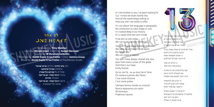### לב אחד One Heart

Composed by: **Yitzy Waldner** Lyrics by: **Miriam Israeli**, French by: **Avigail Marciano** , Spanish by: **R' Avraham Goldstein** Arranged by: **Daniel Kapler & Ian Freitor** • Choir: **Zemiros Group** Mixed by: **Daniel Kapler & Ian Freitor** at PlayMasters Studio PRODUCTIONS

> לחן: **איצי וולדנר •** מילים: **מרים ישראלי** צרפתית-**אביגיל מרסיאנו** ספרדית-**ר' אברהם גולדשטיין** עיבוד: **דניאל קפלר, יאן פרייטור** מקהלה: **זמירות** מיקס: **דניאל קפלר, יאן פרייטור** אולפני פליימאסטרס

It's the brother in you I've been looking for Cuz' I know we share family ties And all the world keeps telling us How you and I are really so alike

It's not about the language or geography No connection to color shape or size It's rooted deep in our history It's a spark that we carry inside

If we join as one today We can build a better tomorrow You and I have always shared one heart We were never meant to be apart My fellow Jew

We can make it happen

You and I have always shared one soul Jews from every corner of the globe And that's our hope Unity forever

Qu'on soit là , ou au bout de la Terre On restera à jamais des frères C'est notre Histoire C'est notre prière

Siempre hemos tenido un corazón Nunca separarnos sin razón Mi hermano Podemos hacerlo

חיפשתי את אחי שקרוב אלי רציתי שנהיה חברים אני אתה וכל העם הזה אולי נחדש את הקשרים PRODUCTIONS

אולי לא מדברים אותה שפה בכלל הכובע והצבע לא דומים כי אנחנו משפחה אחת זה חיבור שקיים לעולמים

כי כולנו לב אחד כאיש אחד בלב אחד

אם כולם נאהב פה זה את זה את הגאולה וודאי נראה וכבר נזכה לפגוש את המשיח

כי הגיע זמן להתאחד אנחנו לא רוצים להיפרד ונישאר עם אחד לנצח

יודען פין די גאנצע וועלט קומען זיך צוזאם אין איין געצעלט דאס איז דער וועג צו ברענגען די גאולה